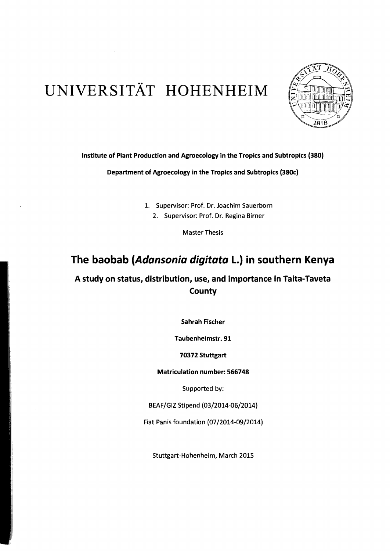# UNIVERSITÄT HOHENHEIM



## Institute of Plant Production and Agroecology in the Tropics and Subtropics (380)

Department of Agroecology in the Tropics and SUbtropics (380c)

1. Supervisor: Prof. Dr. Joachim Sauerborn

2. Supervisor: Prof. Dr. Regina Birner

Master Thesis

## The baobab (Adansonia digitata L.) in southern Kenya

## A study on status, distribution, use, and importance in Taita-Taveta **County**

Sahrah Fischer

Taubenheimstr. 91

## 70372 Stuttgart

Matriculation number: 566748

Supported by:

BEAF/GIZ Stipend (03/2014-06/2014)

Fiat Panis foundation (07/2014-09/2014)

Stuttgart-Hohenheim, March 2015